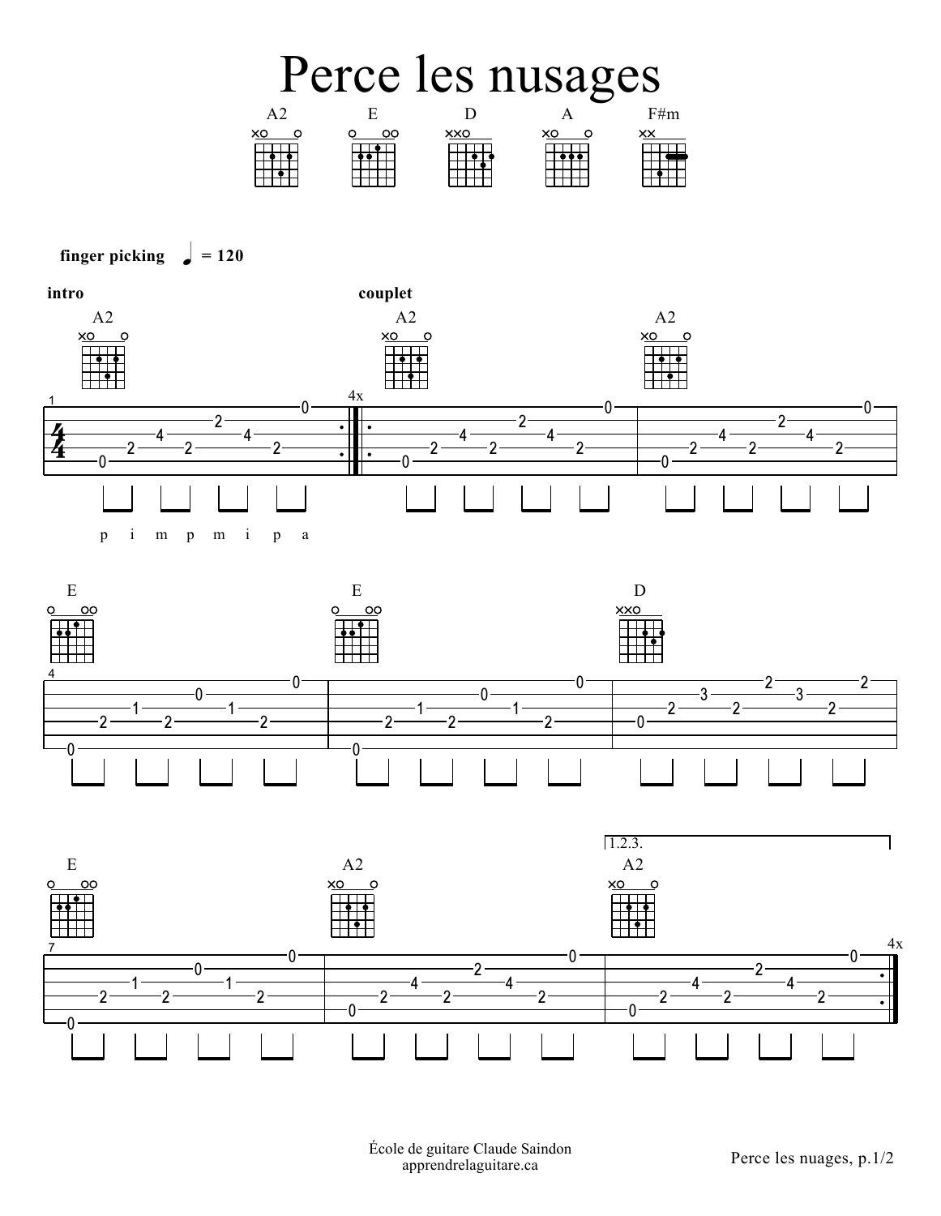



## finger picking  $= 120$